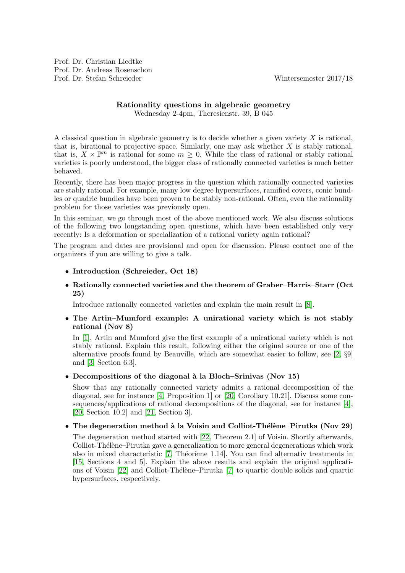### Rationality questions in algebraic geometry Wednesday 2-4pm, Theresienstr. 39, B 045

A classical question in algebraic geometry is to decide whether a given variety  $X$  is rational, that is, birational to projective space. Similarly, one may ask whether  $X$  is stably rational, that is,  $X \times \mathbb{P}^m$  is rational for some  $m \geq 0$ . While the class of rational or stably rational varieties is poorly understood, the bigger class of rationally connected varieties is much better behaved.

Recently, there has been major progress in the question which rationally connected varieties are stably rational. For example, many low degree hypersurfaces, ramified covers, conic bundles or quadric bundles have been proven to be stably non-rational. Often, even the rationality problem for those varieties was previously open.

In this seminar, we go through most of the above mentioned work. We also discuss solutions of the following two longstanding open questions, which have been established only very recently: Is a deformation or specialization of a rational variety again rational?

The program and dates are provisional and open for discussion. Please contact one of the organizers if you are willing to give a talk.

### • Introduction (Schreieder, Oct 18)

# • Rationally connected varieties and the theorem of Graber–Harris–Starr (Oct 25)

Introduce rationally connected varieties and explain the main result in [\[8\]](#page-2-0).

# • The Artin–Mumford example: A unirational variety which is not stably rational (Nov 8)

In [\[1\]](#page-1-0), Artin and Mumford give the first example of a unirational variety which is not stably rational. Explain this result, following either the original source or one of the alternative proofs found by Beauville, which are somewhat easier to follow, see [\[2,](#page-1-1) §9] and [\[3,](#page-1-2) Section 6.3].

### • Decompositions of the diagonal  $\lambda$  la Bloch–Srinivas (Nov 15)

Show that any rationally connected variety admits a rational decomposition of the diagonal, see for instance [\[4,](#page-1-3) Proposition 1] or [\[20,](#page-2-1) Corollary 10.21]. Discuss some consequences/applications of rational decompositions of the diagonal, see for instance [\[4\]](#page-1-3), [\[20,](#page-2-1) Section 10.2] and [\[21,](#page-2-2) Section 3].

# • The degeneration method à la Voisin and Colliot-Thélène–Pirutka (Nov 29)

The degeneration method started with [\[22,](#page-2-3) Theorem 2.1] of Voisin. Shortly afterwards, Colliot-Thélène–Pirutka gave a generalization to more general degenerations which work also in mixed characteristic [\[7,](#page-2-4) Théorème 1.14]. You can find alternativ treatments in [\[15,](#page-2-5) Sections 4 and 5]. Explain the above results and explain the original applicati-ons of Voisin [\[22\]](#page-2-3) and Colliot-Thélène–Pirutka [\[7\]](#page-2-4) to quartic double solids and quartic hypersurfaces, respectively.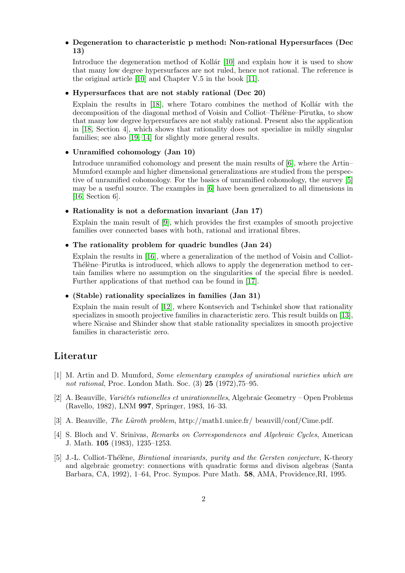### • Degeneration to characteristic p method: Non-rational Hypersurfaces (Dec 13)

Introduce the degeneration method of Kollár  $[10]$  and explain how it is used to show that many low degree hypersurfaces are not ruled, hence not rational. The reference is the original article [\[10\]](#page-2-6) and Chapter V.5 in the book [\[11\]](#page-2-7).

#### • Hypersurfaces that are not stably rational (Dec 20)

Explain the results in  $[18]$ , where Totaro combines the method of Kollár with the decomposition of the diagonal method of Voisin and Colliot–Thélène–Pirutka, to show that many low degree hypersurfaces are not stably rational. Present also the application in [\[18,](#page-2-8) Section 4], which shows that rationality does not specialize in mildly singular families; see also [\[19,](#page-2-9) [14\]](#page-2-10) for slightly more general results.

#### • Unramified cohomology (Jan 10)

Introduce unramified cohomology and present the main results of [\[6\]](#page-2-11), where the Artin– Mumford example and higher dimensional generalizations are studied from the perspective of unramified cohomology. For the basics of unramified cohomology, the survey [\[5\]](#page-1-4) may be a useful source. The examples in [\[6\]](#page-2-11) have been generalized to all dimensions in [\[16,](#page-2-12) Section 6].

#### • Rationality is not a deformation invariant (Jan 17)

Explain the main result of [\[9\]](#page-2-13), which provides the first examples of smooth projective families over connected bases with both, rational and irrational fibres.

#### • The rationality problem for quadric bundles (Jan 24)

Explain the results in [\[16\]](#page-2-12), where a generalization of the method of Voisin and Colliot-Thélène–Pirutka is introduced, which allows to apply the degeneration method to certain families where no assumption on the singularities of the special fibre is needed. Further applications of that method can be found in [\[17\]](#page-2-14).

#### • (Stable) rationality specializes in families (Jan 31)

Explain the main result of [\[12\]](#page-2-15), where Kontsevich and Tschinkel show that rationality specializes in smooth projective families in characteristic zero. This result builds on [\[13\]](#page-2-16), where Nicaise and Shinder show that stable rationality specializes in smooth projective families in characteristic zero.

# <span id="page-1-0"></span>Literatur

- [1] M. Artin and D. Mumford, Some elementary examples of unirational varieties which are not rational, Proc. London Math. Soc. (3) 25 (1972),75–95.
- <span id="page-1-1"></span> $[2]$  A. Beauville, *Variétés rationelles et unirationnelles*, Algebraic Geometry – Open Problems (Ravello, 1982), LNM 997, Springer, 1983, 16–33.
- <span id="page-1-3"></span><span id="page-1-2"></span>[3] A. Beauville, The Lüroth problem, http://math1.unice.fr/ beauvill/conf/Cime.pdf.
- [4] S. Bloch and V. Srinivas, Remarks on Correspondences and Algebraic Cycles, American J. Math. 105 (1983), 1235–1253.
- <span id="page-1-4"></span>[5] J.-L. Colliot-Thélène, *Birational invariants, purity and the Gersten conjecture*, K-theory and algebraic geometry: connections with quadratic forms and divison algebras (Santa Barbara, CA, 1992), 1–64, Proc. Sympos. Pure Math. 58, AMA, Providence,RI, 1995.